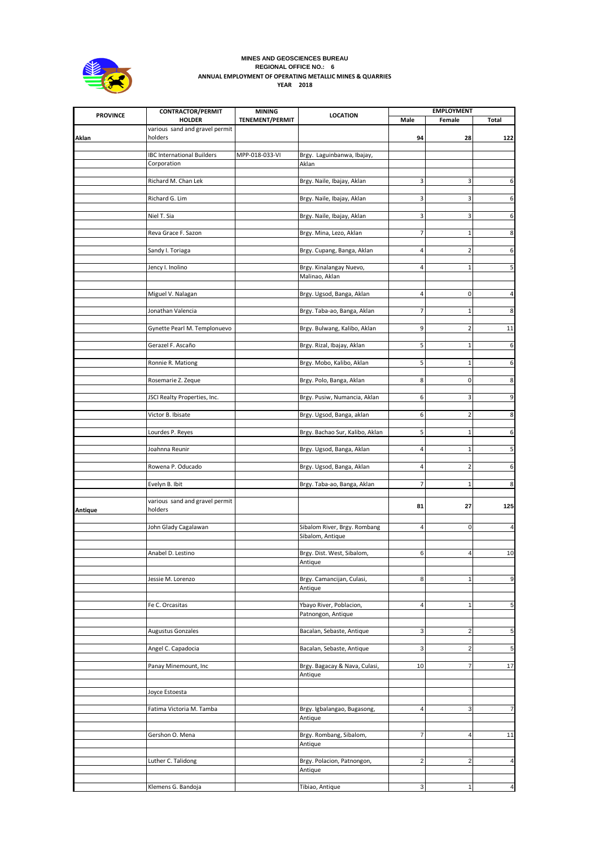

## **MINES AND GEOSCIENCES BUREAU REGIONAL OFFICE NO.: 6 ANNUAL EMPLOYMENT OF OPERATING METALLIC MINES & QUARRIES YEAR 2018**

|                 | <b>CONTRACTOR/PERMIT</b>                  | <b>MINING</b>          |                                        | <b>EMPLOYMENT</b> |                |                         |
|-----------------|-------------------------------------------|------------------------|----------------------------------------|-------------------|----------------|-------------------------|
| <b>PROVINCE</b> | <b>HOLDER</b>                             | <b>TENEMENT/PERMIT</b> | <b>LOCATION</b>                        | Male              | Female         | Total                   |
| Aklan           | various sand and gravel permit<br>holders |                        |                                        | 94                | 28             | 122                     |
|                 |                                           |                        |                                        |                   |                |                         |
|                 | <b>IBC International Builders</b>         | MPP-018-033-VI         | Brgy. Laguinbanwa, Ibajay,             |                   |                |                         |
|                 | Corporation                               |                        | Aklan                                  |                   |                |                         |
|                 |                                           |                        |                                        |                   |                |                         |
|                 | Richard M. Chan Lek                       |                        | Brgy. Naile, Ibajay, Aklan             | 3                 | 3              | 6                       |
|                 | Richard G. Lim                            |                        | Brgy. Naile, Ibajay, Aklan             | 3                 | 3              | $6 \mid$                |
|                 |                                           |                        |                                        |                   |                |                         |
|                 | Niel T. Sia                               |                        | Brgy. Naile, Ibajay, Aklan             | 3                 | 3              | $6 \mid$                |
|                 |                                           |                        |                                        |                   |                |                         |
|                 | Reva Grace F. Sazon                       |                        | Brgy. Mina, Lezo, Aklan                | 7                 | 1              | 8                       |
|                 |                                           |                        |                                        |                   |                |                         |
|                 | Sandy I. Toriaga                          |                        | Brgy. Cupang, Banga, Aklan             | 4                 | 2              | 6                       |
|                 |                                           |                        |                                        |                   |                |                         |
|                 | Jency I. Inolino                          |                        | Brgy. Kinalangay Nuevo,                | 4                 | $\mathbf 1$    | 5                       |
|                 |                                           |                        | Malinao, Aklan                         |                   |                |                         |
|                 |                                           |                        |                                        |                   |                |                         |
|                 | Miguel V. Nalagan                         |                        | Brgy. Ugsod, Banga, Aklan              | 4                 | 0              | 4                       |
|                 |                                           |                        |                                        |                   |                |                         |
|                 | Jonathan Valencia                         |                        | Brgy. Taba-ao, Banga, Aklan            | 7                 | 1              | 8                       |
|                 |                                           |                        |                                        |                   |                |                         |
|                 | Gynette Pearl M. Templonuevo              |                        | Brgy. Bulwang, Kalibo, Aklan           | 9                 | $\overline{2}$ | 11                      |
|                 |                                           |                        |                                        |                   |                |                         |
|                 | Gerazel F. Ascaño                         |                        | Brgy. Rizal, Ibajay, Aklan             | 5                 | 1              | 6                       |
|                 |                                           |                        |                                        | 5                 | $\mathbf{1}$   | 6                       |
|                 | Ronnie R. Mationg                         |                        | Brgy. Mobo, Kalibo, Aklan              |                   |                |                         |
|                 | Rosemarie Z. Zeque                        |                        | Brgy. Polo, Banga, Aklan               | 8                 | 0              | $8\phantom{.}$          |
|                 |                                           |                        |                                        |                   |                |                         |
|                 | JSCI Realty Properties, Inc.              |                        | Brgy. Pusiw, Numancia, Aklan           | 6                 | 3              | 9                       |
|                 |                                           |                        |                                        |                   |                |                         |
|                 | Victor B. Ibisate                         |                        | Brgy. Ugsod, Banga, aklan              | 6                 | 2              | 8                       |
|                 |                                           |                        |                                        |                   |                |                         |
|                 | Lourdes P. Reyes                          |                        | Brgy. Bachao Sur, Kalibo, Aklan        | 5                 | 1              | 6                       |
|                 |                                           |                        |                                        |                   |                |                         |
|                 | Joahnna Reunir                            |                        | Brgy. Ugsod, Banga, Aklan              | 4                 | 1              | 5 <sub>l</sub>          |
|                 |                                           |                        |                                        |                   |                |                         |
|                 | Rowena P. Oducado                         |                        | Brgy. Ugsod, Banga, Aklan              | 4                 | $\overline{2}$ | 6                       |
|                 |                                           |                        |                                        |                   |                |                         |
|                 | Evelyn B. Ibit                            |                        | Brgy. Taba-ao, Banga, Aklan            | 7                 | $\mathbf 1$    | 8                       |
|                 |                                           |                        |                                        |                   |                |                         |
|                 | various sand and gravel permit            |                        |                                        | 81                | 27             | 125                     |
| Antique         | holders                                   |                        |                                        |                   |                |                         |
|                 |                                           |                        |                                        |                   |                |                         |
|                 | John Glady Cagalawan                      |                        | Sibalom River, Brgy. Rombang           | 4                 | $\mathbf 0$    | $\overline{\mathbf{4}}$ |
|                 |                                           |                        | Sibalom, Antique                       |                   |                |                         |
|                 |                                           |                        |                                        |                   |                |                         |
|                 | Anabel D. Lestino                         |                        | Brgy. Dist. West, Sibalom,             | 6                 | 4              | 10                      |
|                 |                                           |                        | Antique                                |                   |                |                         |
|                 | Jessie M. Lorenzo                         |                        | Brgy. Camancijan, Culasi,              | 8                 | 1              | $\overline{9}$          |
|                 |                                           |                        | Antique                                |                   |                |                         |
|                 |                                           |                        |                                        |                   |                |                         |
|                 | Fe C. Orcasitas                           |                        | Ybayo River, Poblacion,                | 4                 | $\mathbf{1}$   | $5\phantom{.0}$         |
|                 |                                           |                        | Patnongon, Antique                     |                   |                |                         |
|                 |                                           |                        |                                        |                   |                |                         |
|                 | <b>Augustus Gonzales</b>                  |                        | Bacalan, Sebaste, Antique              | 3                 | $\overline{2}$ | 5                       |
|                 |                                           |                        |                                        |                   |                |                         |
|                 | Angel C. Capadocia                        |                        | Bacalan, Sebaste, Antique              | 3                 | $\overline{2}$ | $5\overline{)}$         |
|                 |                                           |                        |                                        |                   |                |                         |
|                 | Panay Minemount, Inc                      |                        | Brgy. Bagacay & Nava, Culasi,          | 10                | 7              | 17                      |
|                 |                                           |                        | Antique                                |                   |                |                         |
|                 |                                           |                        |                                        |                   |                |                         |
|                 | Joyce Estoesta                            |                        |                                        |                   |                |                         |
|                 |                                           |                        |                                        | 4                 | 3              | 7                       |
|                 | Fatima Victoria M. Tamba                  |                        | Brgy. Igbalangao, Bugasong,<br>Antique |                   |                |                         |
|                 |                                           |                        |                                        |                   |                |                         |
|                 | Gershon O. Mena                           |                        | Brgy. Rombang, Sibalom,                | 7                 | $\sqrt{4}$     | 11                      |
|                 |                                           |                        | Antique                                |                   |                |                         |
|                 |                                           |                        |                                        |                   |                |                         |
|                 | Luther C. Talidong                        |                        | Brgy. Polacion, Patnongon,             | $\overline{2}$    | $\overline{2}$ | 4                       |
|                 |                                           |                        | Antique                                |                   |                |                         |
|                 |                                           |                        |                                        |                   |                |                         |
|                 | Klemens G. Bandoja                        |                        | Tibiao, Antique                        | 3                 | 1              | 4                       |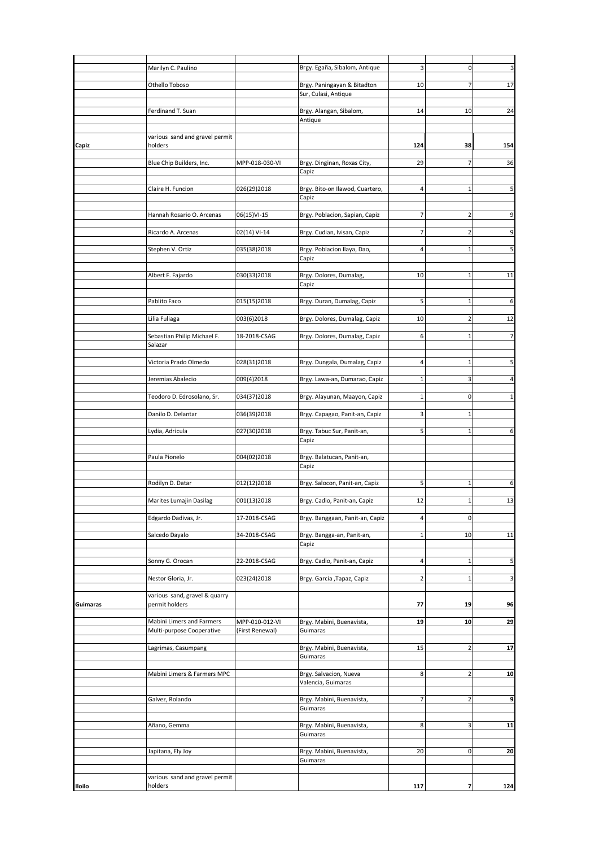|          | Marilyn C. Paulino                        |                 | Brgy. Egaña, Sibalom, Antique         | 3              | $\mathbf 0$    | 3              |
|----------|-------------------------------------------|-----------------|---------------------------------------|----------------|----------------|----------------|
|          |                                           |                 |                                       |                |                |                |
|          | Othello Toboso                            |                 | Brgy. Paningayan & Bitadton           | 10             | 7              | 17             |
|          |                                           |                 | Sur, Culasi, Antique                  |                |                |                |
|          | Ferdinand T. Suan                         |                 | Brgy. Alangan, Sibalom,               | 14             | 10             | 24             |
|          |                                           |                 | Antique                               |                |                |                |
|          |                                           |                 |                                       |                |                |                |
| Capiz    | various sand and gravel permit<br>holders |                 |                                       | 124            | 38             | 154            |
|          |                                           |                 |                                       |                |                |                |
|          | Blue Chip Builders, Inc.                  | MPP-018-030-VI  | Brgy. Dinginan, Roxas City,           | 29             |                | 36             |
|          |                                           |                 | Capiz                                 |                |                |                |
|          | Claire H. Funcion                         | 026(29)2018     | Brgy. Bito-on Ilawod, Cuartero,       | $\overline{4}$ | $\mathbf{1}$   | 5              |
|          |                                           |                 | Capiz                                 |                |                |                |
|          |                                           |                 |                                       |                |                |                |
|          | Hannah Rosario O. Arcenas                 | 06(15)VI-15     | Brgy. Poblacion, Sapian, Capiz        | 7              | $\overline{2}$ | 9              |
|          | Ricardo A. Arcenas                        | 02(14) VI-14    | Brgy. Cudian, Ivisan, Capiz           | 7              | 2              | 9              |
|          |                                           |                 |                                       |                |                |                |
|          | Stephen V. Ortiz                          | 035(38)2018     | Brgy. Poblacion Ilaya, Dao,           | $\overline{4}$ | 1              | 5              |
|          |                                           |                 | Capiz                                 |                |                |                |
|          |                                           |                 |                                       |                |                |                |
|          | Albert F. Fajardo                         | 030(33)2018     | Brgy. Dolores, Dumalag,               | 10             | $\mathbf{1}$   | 11             |
|          |                                           |                 | Capiz                                 |                |                |                |
|          | Pablito Faco                              | 015(15)2018     | Brgy. Duran, Dumalag, Capiz           | 5              | 1              | 6              |
|          |                                           |                 |                                       |                |                |                |
|          | Lilia Fuliaga                             | 003(6)2018      | Brgy. Dolores, Dumalag, Capiz         | 10             | $\overline{2}$ | 12             |
|          |                                           |                 |                                       |                |                |                |
|          | Sebastian Philip Michael F.<br>Salazar    | 18-2018-CSAG    | Brgy. Dolores, Dumalag, Capiz         | 6              | $\mathbf{1}$   | $\overline{7}$ |
|          |                                           |                 |                                       |                |                |                |
|          | Victoria Prado Olmedo                     | 028(31)2018     | Brgy. Dungala, Dumalag, Capiz         | 4              | 1              | 5              |
|          |                                           |                 |                                       |                |                |                |
|          | Jeremias Abalecio                         | 009(4)2018      | Brgy. Lawa-an, Dumarao, Capiz         | $\mathbf{1}$   | 3              | 4              |
|          | Teodoro D. Edrosolano, Sr.                | 034(37)2018     | Brgy. Alayunan, Maayon, Capiz         | 1              | $\mathsf 0$    | $\mathbf{1}$   |
|          |                                           |                 |                                       |                |                |                |
|          | Danilo D. Delantar                        | 036(39)2018     | Brgy. Capagao, Panit-an, Capiz        | 3              | 1              |                |
|          | Lydia, Adricula                           | 027(30)2018     | Brgy. Tabuc Sur, Panit-an,            | 5              | 1              | 6              |
|          |                                           |                 | Capiz                                 |                |                |                |
|          |                                           |                 |                                       |                |                |                |
|          | Paula Pionelo                             | 004(02)2018     | Brgy. Balatucan, Panit-an,            |                |                |                |
|          |                                           |                 | Capiz                                 |                |                |                |
|          |                                           |                 |                                       | 5              | $\mathbf{1}$   | 6              |
|          | Rodilyn D. Datar                          | 012(12)2018     | Brgy. Salocon, Panit-an, Capiz        |                |                |                |
|          | Marites Lumajin Dasilag                   | 001(13)2018     | Brgy. Cadio, Panit-an, Capiz          | 12             | 1              | 13             |
|          |                                           |                 |                                       |                |                |                |
|          | Edgardo Dadivas, Jr.                      | 17-2018-CSAG    | Brgy. Banggaan, Panit-an, Capiz       | $\overline{4}$ | 0              |                |
|          |                                           |                 |                                       |                |                |                |
|          | Salcedo Dayalo                            | 34-2018-CSAG    | Brgy. Bangga-an, Panit-an,<br>Capiz   | $\mathbf{1}$   | 10             | 11             |
|          |                                           |                 |                                       |                |                |                |
|          | Sonny G. Orocan                           | 22-2018-CSAG    | Brgy. Cadio, Panit-an, Capiz          | $\overline{4}$ | 1              | 5              |
|          |                                           |                 |                                       |                |                |                |
|          | Nestor Gloria, Jr.                        | 023(24)2018     | Brgy. Garcia , Tapaz, Capiz           | $\overline{2}$ | 1              | 3              |
|          | various sand, gravel & quarry             |                 |                                       |                |                |                |
| Guimaras | permit holders                            |                 |                                       | 77             | 19             | 96             |
|          |                                           |                 |                                       |                |                |                |
|          | Mabini Limers and Farmers                 | MPP-010-012-VI  | Brgy. Mabini, Buenavista,             | 19             | 10             | 29             |
|          | Multi-purpose Cooperative                 | (First Renewal) | Guimaras                              |                |                |                |
|          |                                           |                 |                                       |                | $\overline{2}$ |                |
|          | Lagrimas, Casumpang                       |                 | Brgy. Mabini, Buenavista,<br>Guimaras | 15             |                | 17             |
|          |                                           |                 |                                       |                |                |                |
|          | Mabini Limers & Farmers MPC               |                 | Brgy. Salvacion, Nueva                | 8              | $\overline{2}$ | 10             |
|          |                                           |                 | Valencia, Guimaras                    |                |                |                |
|          |                                           |                 |                                       |                |                |                |
|          | Galvez, Rolando                           |                 | Brgy. Mabini, Buenavista,<br>Guimaras | 7              | $\overline{2}$ | 9              |
|          |                                           |                 |                                       |                |                |                |
|          | Añano, Gemma                              |                 | Brgy. Mabini, Buenavista,             | 8              | 3              | 11             |
|          |                                           |                 | Guimaras                              |                |                |                |
|          |                                           |                 |                                       |                |                |                |
|          | Japitana, Ely Joy                         |                 | Brgy. Mabini, Buenavista,<br>Guimaras | 20             | 0              | 20             |
|          |                                           |                 |                                       |                |                |                |
|          |                                           |                 |                                       |                |                |                |
|          | various sand and gravel permit            |                 |                                       |                |                |                |